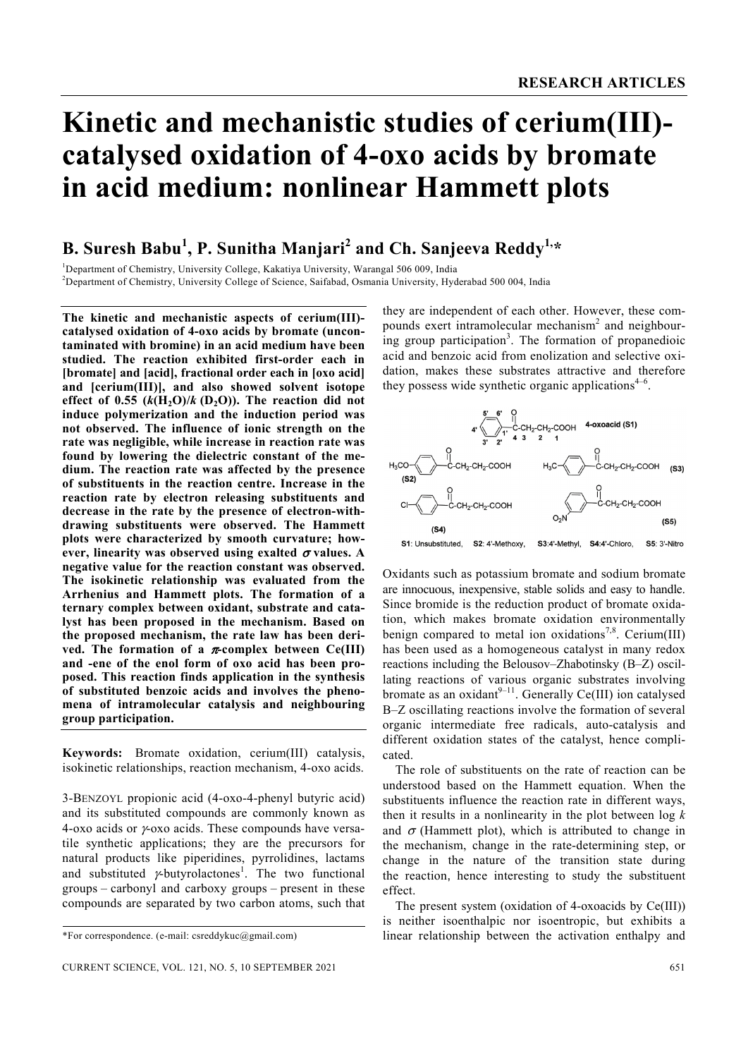# **Kinetic and mechanistic studies of cerium(III) catalysed oxidation of 4-oxo acids by bromate in acid medium: nonlinear Hammett plots**

## **B. Suresh Babu<sup>1</sup> , P. Sunitha Manjari<sup>2</sup> and Ch. Sanjeeva Reddy1,\***

<sup>1</sup>Department of Chemistry, University College, Kakatiya University, Warangal 506 009, India <sup>2</sup>Department of Chemistry, University College of Sejange, Saifabed, Osmania University, Hyd <sup>2</sup>Department of Chemistry, University College of Science, Saifabad, Osmania University, Hyderabad 500 004, India

**The kinetic and mechanistic aspects of cerium(III) catalysed oxidation of 4-oxo acids by bromate (uncontaminated with bromine) in an acid medium have been studied. The reaction exhibited first-order each in [bromate] and [acid], fractional order each in [oxo acid] and [cerium(III)], and also showed solvent isotope**  effect of  $0.55$   $(k(H_2O)/k(D_2O))$ . The reaction did not **induce polymerization and the induction period was not observed. The influence of ionic strength on the rate was negligible, while increase in reaction rate was found by lowering the dielectric constant of the medium. The reaction rate was affected by the presence of substituents in the reaction centre. Increase in the reaction rate by electron releasing substituents and decrease in the rate by the presence of electron-withdrawing substituents were observed. The Hammett plots were characterized by smooth curvature; however, linearity was observed using exalted** σ **values. A negative value for the reaction constant was observed. The isokinetic relationship was evaluated from the Arrhenius and Hammett plots. The formation of a ternary complex between oxidant, substrate and catalyst has been proposed in the mechanism. Based on the proposed mechanism, the rate law has been derived. The formation of a** π**-complex between Ce(III) and -ene of the enol form of oxo acid has been proposed. This reaction finds application in the synthesis of substituted benzoic acids and involves the phenomena of intramolecular catalysis and neighbouring group participation.** 

**Keywords:** Bromate oxidation, cerium(III) catalysis, isokinetic relationships, reaction mechanism, 4-oxo acids.

3-BENZOYL propionic acid (4-oxo-4-phenyl butyric acid) and its substituted compounds are commonly known as 4-oxo acids or γ-oxo acids. These compounds have versatile synthetic applications; they are the precursors for natural products like piperidines, pyrrolidines, lactams and substituted  $\gamma$ -butyrolactones<sup>1</sup>. The two functional groups – carbonyl and carboxy groups – present in these compounds are separated by two carbon atoms, such that

they are independent of each other. However, these compounds exert intramolecular mechanism<sup>2</sup> and neighbouring group participation<sup>3</sup>. The formation of propanedioic acid and benzoic acid from enolization and selective oxidation, makes these substrates attractive and therefore they possess wide synthetic organic applications $4-6$ .



Oxidants such as potassium bromate and sodium bromate are innocuous, inexpensive, stable solids and easy to handle. Since bromide is the reduction product of bromate oxidation, which makes bromate oxidation environmentally benign compared to metal ion oxidations<sup>7,8</sup>. Cerium(III) has been used as a homogeneous catalyst in many redox reactions including the Belousov–Zhabotinsky (B–Z) oscillating reactions of various organic substrates involving bromate as an oxidant<sup>9–11</sup>. Generally Ce(III) ion catalysed B–Z oscillating reactions involve the formation of several organic intermediate free radicals, auto-catalysis and different oxidation states of the catalyst, hence complicated.

 The role of substituents on the rate of reaction can be understood based on the Hammett equation. When the substituents influence the reaction rate in different ways, then it results in a nonlinearity in the plot between log *k* and  $\sigma$  (Hammett plot), which is attributed to change in the mechanism, change in the rate-determining step, or change in the nature of the transition state during the reaction, hence interesting to study the substituent effect.

 The present system (oxidation of 4-oxoacids by Ce(III)) is neither isoenthalpic nor isoentropic, but exhibits a linear relationship between the activation enthalpy and

<sup>\*</sup>For correspondence. (e-mail: csreddykuc@gmail.com)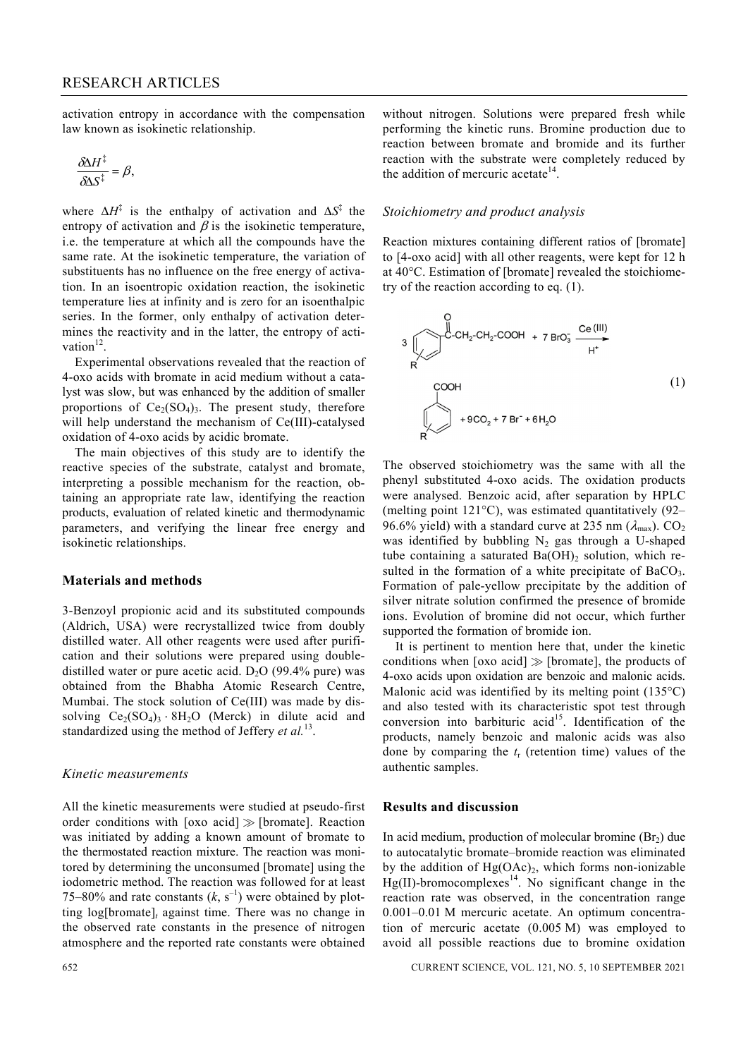activation entropy in accordance with the compensation law known as isokinetic relationship.

$$
\frac{\delta \Delta H^{\ddagger}}{\delta \Delta S^{\ddagger}} = \beta,
$$

where  $\Delta H^{\ddagger}$  is the enthalpy of activation and  $\Delta S^{\ddagger}$  the entropy of activation and  $\beta$  is the isokinetic temperature, i.e. the temperature at which all the compounds have the same rate. At the isokinetic temperature, the variation of substituents has no influence on the free energy of activation. In an isoentropic oxidation reaction, the isokinetic temperature lies at infinity and is zero for an isoenthalpic series. In the former, only enthalpy of activation determines the reactivity and in the latter, the entropy of activation $12$ 

 Experimental observations revealed that the reaction of 4-oxo acids with bromate in acid medium without a catalyst was slow, but was enhanced by the addition of smaller proportions of  $Ce<sub>2</sub>(SO<sub>4</sub>)<sub>3</sub>$ . The present study, therefore will help understand the mechanism of Ce(III)-catalysed oxidation of 4-oxo acids by acidic bromate.

 The main objectives of this study are to identify the reactive species of the substrate, catalyst and bromate, interpreting a possible mechanism for the reaction, obtaining an appropriate rate law, identifying the reaction products, evaluation of related kinetic and thermodynamic parameters, and verifying the linear free energy and isokinetic relationships.

#### **Materials and methods**

3-Benzoyl propionic acid and its substituted compounds (Aldrich, USA) were recrystallized twice from doubly distilled water. All other reagents were used after purification and their solutions were prepared using doubledistilled water or pure acetic acid.  $D_2O$  (99.4% pure) was obtained from the Bhabha Atomic Research Centre, Mumbai. The stock solution of Ce(III) was made by dissolving  $Ce_2(SO_4)_3 \cdot 8H_2O$  (Merck) in dilute acid and standardized using the method of Jeffery *et al.*13.

#### *Kinetic measurements*

All the kinetic measurements were studied at pseudo-first order conditions with [oxo acid]  $\gg$  [bromate]. Reaction was initiated by adding a known amount of bromate to the thermostated reaction mixture. The reaction was monitored by determining the unconsumed [bromate] using the iodometric method. The reaction was followed for at least 75–80% and rate constants  $(k, s<sup>-1</sup>)$  were obtained by plotting  $log[branch]$ <sub>t</sub> against time. There was no change in the observed rate constants in the presence of nitrogen atmosphere and the reported rate constants were obtained without nitrogen. Solutions were prepared fresh while performing the kinetic runs. Bromine production due to reaction between bromate and bromide and its further reaction with the substrate were completely reduced by the addition of mercuric acetate $^{14}$ .

#### *Stoichiometry and product analysis*

Reaction mixtures containing different ratios of [bromate] to [4-oxo acid] with all other reagents, were kept for 12 h at 40°C. Estimation of [bromate] revealed the stoichiometry of the reaction according to eq. (1).

$$
3 \bigvee_{P} C \cdot CH_2 \cdot C \cdot H_2 \cdot COOH + 7 B r O_3 \xrightarrow{Ce (III)} H^*}
$$
\n
$$
1)
$$
\n
$$
1)
$$
\n
$$
+9 CO_2 + 7 B r^- + 6 H_2 O
$$
\n(1)

The observed stoichiometry was the same with all the phenyl substituted 4-oxo acids. The oxidation products were analysed. Benzoic acid, after separation by HPLC (melting point  $121^{\circ}$ C), was estimated quantitatively (92– 96.6% yield) with a standard curve at 235 nm  $(\lambda_{\text{max}})$ . CO<sub>2</sub> was identified by bubbling  $N_2$  gas through a U-shaped tube containing a saturated  $Ba(OH)$ <sub>2</sub> solution, which resulted in the formation of a white precipitate of  $BaCO<sub>3</sub>$ . Formation of pale-yellow precipitate by the addition of silver nitrate solution confirmed the presence of bromide ions. Evolution of bromine did not occur, which further supported the formation of bromide ion.

 It is pertinent to mention here that, under the kinetic conditions when [oxo acid]  $\gg$  [bromate], the products of 4-oxo acids upon oxidation are benzoic and malonic acids. Malonic acid was identified by its melting point (135<sup>o</sup>C) and also tested with its characteristic spot test through conversion into barbituric acid<sup>15</sup>. Identification of the products, namely benzoic and malonic acids was also done by comparing the *t*r (retention time) values of the authentic samples.

#### **Results and discussion**

In acid medium, production of molecular bromine  $(Br<sub>2</sub>)$  due to autocatalytic bromate–bromide reaction was eliminated by the addition of  $Hg(OAc)_2$ , which forms non-ionizable  $Hg(II)$ -bromocomplexes<sup>14</sup>. No significant change in the reaction rate was observed, in the concentration range 0.001–0.01 M mercuric acetate. An optimum concentration of mercuric acetate (0.005 M) was employed to avoid all possible reactions due to bromine oxidation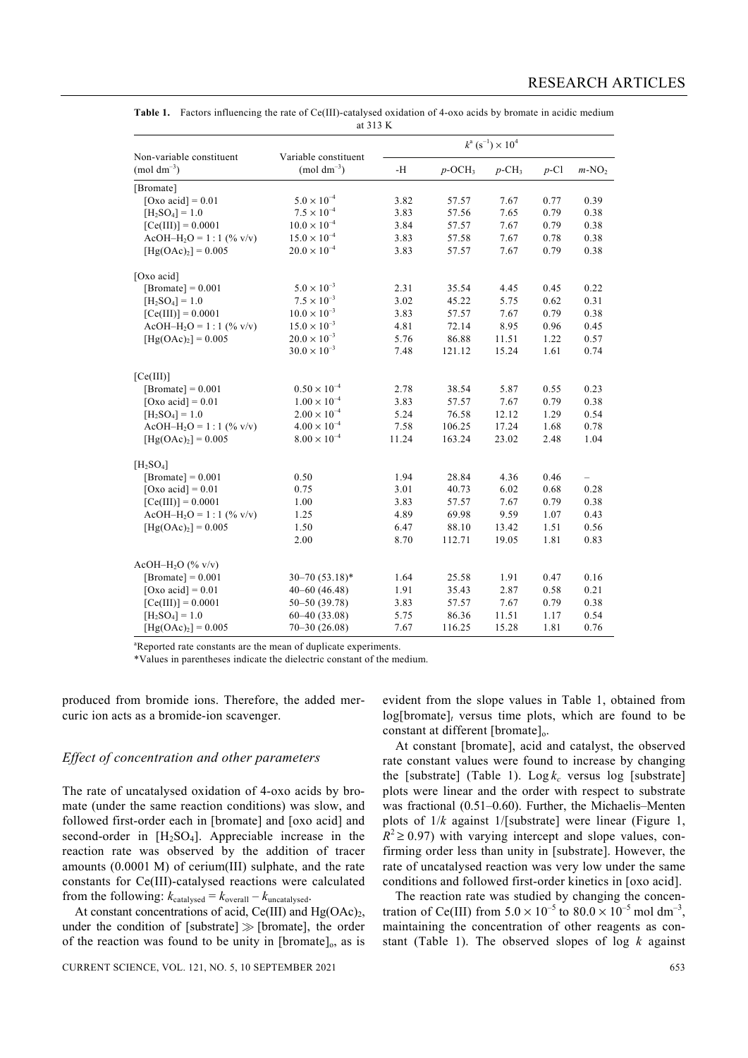| Non-variable constituent          | Variable constituent<br>$(mod \text{ } dm^{-3})$ | $k^{\rm a}$ (s <sup>-1</sup> ) $\times$ 10 <sup>4</sup> |                       |                      |         |                          |
|-----------------------------------|--------------------------------------------------|---------------------------------------------------------|-----------------------|----------------------|---------|--------------------------|
| $(mod \text{ } dm^{-3})$          |                                                  | $\mathbf{-H}$                                           | $p$ -OCH <sub>3</sub> | $p$ -CH <sub>3</sub> | $p$ -Cl | $m-NO2$                  |
| [Bromate]                         |                                                  |                                                         |                       |                      |         |                          |
| [Oxo acid] = $0.01$               | $5.0 \times 10^{-4}$                             | 3.82                                                    | 57.57                 | 7.67                 | 0.77    | 0.39                     |
| $[H_2SO_4] = 1.0$                 | $7.5 \times 10^{-4}$                             | 3.83                                                    | 57.56                 | 7.65                 | 0.79    | 0.38                     |
| $[Ce(III)] = 0.0001$              | $10.0 \times 10^{-4}$                            | 3.84                                                    | 57.57                 | 7.67                 | 0.79    | 0.38                     |
| $AcOH-H_2O = 1:1$ (% v/v)         | $15.0 \times 10^{-4}$                            | 3.83                                                    | 57.58                 | 7.67                 | 0.78    | 0.38                     |
| $[Hg(OAc)2] = 0.005$              | $20.0 \times 10^{-4}$                            | 3.83                                                    | 57.57                 | 7.67                 | 0.79    | 0.38                     |
| [Oxo acid]                        |                                                  |                                                         |                       |                      |         |                          |
| [Bromate] = $0.001$               | $5.0 \times 10^{-3}$                             | 2.31                                                    | 35.54                 | 4.45                 | 0.45    | 0.22                     |
| $[H_2SO_4] = 1.0$                 | $7.5 \times 10^{-3}$                             | 3.02                                                    | 45.22                 | 5.75                 | 0.62    | 0.31                     |
| $[Ce(III)] = 0.0001$              | $10.0 \times 10^{-3}$                            | 3.83                                                    | 57.57                 | 7.67                 | 0.79    | 0.38                     |
| $AcOH-H_2O = 1:1$ (% v/v)         | $15.0 \times 10^{-3}$                            | 4.81                                                    | 72.14                 | 8.95                 | 0.96    | 0.45                     |
| $[Hg(OAc)2] = 0.005$              | $20.0 \times 10^{-3}$                            | 5.76                                                    | 86.88                 | 11.51                | 1.22    | 0.57                     |
|                                   | $30.0 \times 10^{-3}$                            | 7.48                                                    | 121.12                | 15.24                | 1.61    | 0.74                     |
| [Ce(III)]                         |                                                  |                                                         |                       |                      |         |                          |
| [Bromate] = $0.001$               | $0.50 \times 10^{-4}$                            | 2.78                                                    | 38.54                 | 5.87                 | 0.55    | 0.23                     |
| [Oxo acid] = $0.01$               | $1.00 \times 10^{-4}$                            | 3.83                                                    | 57.57                 | 7.67                 | 0.79    | 0.38                     |
| $[H_2SO_4] = 1.0$                 | $2.00 \times 10^{-4}$                            | 5.24                                                    | 76.58                 | 12.12                | 1.29    | 0.54                     |
| $AcOH-H_2O = 1:1$ (% v/v)         | $4.00 \times 10^{-4}$                            | 7.58                                                    | 106.25                | 17.24                | 1.68    | 0.78                     |
| $[Hg(OAc)2] = 0.005$              | $8.00\times10^{-4}$                              | 11.24                                                   | 163.24                | 23.02                | 2.48    | 1.04                     |
| [H <sub>2</sub> SO <sub>4</sub> ] |                                                  |                                                         |                       |                      |         |                          |
| [Bromate] = $0.001$               | 0.50                                             | 1.94                                                    | 28.84                 | 4.36                 | 0.46    | $\overline{\phantom{0}}$ |
| [Oxo acid] = $0.01$               | 0.75                                             | 3.01                                                    | 40.73                 | 6.02                 | 0.68    | 0.28                     |
| $[Ce(III)] = 0.0001$              | 1.00                                             | 3.83                                                    | 57.57                 | 7.67                 | 0.79    | 0.38                     |
| $AcOH-H_2O = 1:1$ (% v/v)         | 1.25                                             | 4.89                                                    | 69.98                 | 9.59                 | 1.07    | 0.43                     |
| $[Hg(OAc)2] = 0.005$              | 1.50                                             | 6.47                                                    | 88.10                 | 13.42                | 1.51    | 0.56                     |
|                                   | 2.00                                             | 8.70                                                    | 112.71                | 19.05                | 1.81    | 0.83                     |
| AcOH-H <sub>2</sub> O (% v/v)     |                                                  |                                                         |                       |                      |         |                          |
| [Bromate] = $0.001$               | $30 - 70(53.18)^*$                               | 1.64                                                    | 25.58                 | 1.91                 | 0.47    | 0.16                     |
| [Oxo acid] = $0.01$               | $40 - 60$ $(46.48)$                              | 1.91                                                    | 35.43                 | 2.87                 | 0.58    | 0.21                     |
| $[Ce(III)] = 0.0001$              | 50-50 (39.78)                                    | 3.83                                                    | 57.57                 | 7.67                 | 0.79    | 0.38                     |
| $[H_2SO_4] = 1.0$                 | $60 - 40(33.08)$                                 | 5.75                                                    | 86.36                 | 11.51                | 1.17    | 0.54                     |
| $[Hg(OAc)2] = 0.005$              | $70 - 30(26.08)$                                 | 7.67                                                    | 116.25                | 15.28                | 1.81    | 0.76                     |

**Table 1.** Factors influencing the rate of Ce(III)-catalysed oxidation of 4-oxo acids by bromate in acidic medium at 313 K

<sup>a</sup>Reported rate constants are the mean of duplicate experiments.

\*Values in parentheses indicate the dielectric constant of the medium.

produced from bromide ions. Therefore, the added mercuric ion acts as a bromide-ion scavenger.

#### *Effect of concentration and other parameters*

The rate of uncatalysed oxidation of 4-oxo acids by bromate (under the same reaction conditions) was slow, and followed first-order each in [bromate] and [oxo acid] and second-order in  $[H_2SO_4]$ . Appreciable increase in the reaction rate was observed by the addition of tracer amounts (0.0001 M) of cerium(III) sulphate, and the rate constants for Ce(III)-catalysed reactions were calculated from the following:  $k_{\text{catalysed}} = k_{\text{overall}} - k_{\text{uncatalysed}}.$ 

At constant concentrations of acid, Ce(III) and  $Hg(OAc)_2$ , under the condition of [substrate]  $\gg$  [bromate], the order of the reaction was found to be unity in [bromate]<sub>0</sub>, as is

CURRENT SCIENCE, VOL. 121, NO. 5, 10 SEPTEMBER 2021 653

evident from the slope values in Table 1, obtained from  $log[branch]$ <sub>t</sub> versus time plots, which are found to be constant at different [bromate]<sub>0</sub>.

 At constant [bromate], acid and catalyst, the observed rate constant values were found to increase by changing the [substrate] (Table 1).  $\text{Log } k_c$  versus log [substrate] plots were linear and the order with respect to substrate was fractional (0.51–0.60). Further, the Michaelis–Menten plots of 1/*k* against 1/[substrate] were linear (Figure 1,  $R^2 \ge 0.97$ ) with varying intercept and slope values, confirming order less than unity in [substrate]. However, the rate of uncatalysed reaction was very low under the same conditions and followed first-order kinetics in [oxo acid].

 The reaction rate was studied by changing the concentration of Ce(III) from  $5.0 \times 10^{-5}$  to  $80.0 \times 10^{-5}$  mol dm<sup>-3</sup>, maintaining the concentration of other reagents as constant (Table 1). The observed slopes of log *k* against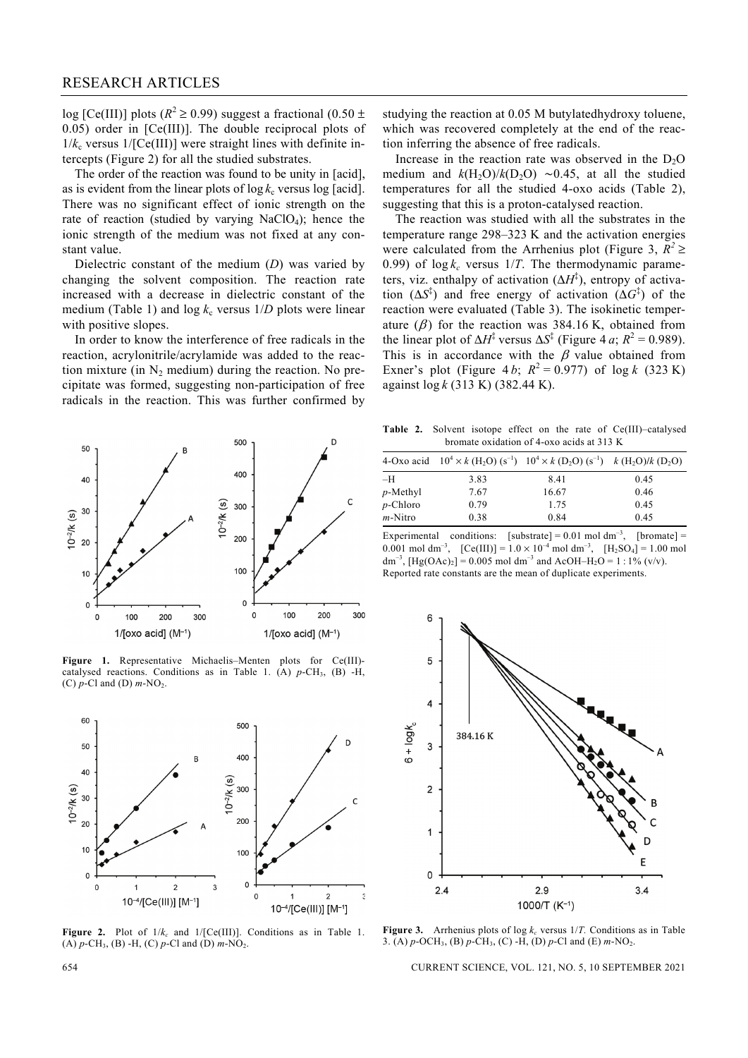log [Ce(III)] plots ( $R^2 \ge 0.99$ ) suggest a fractional (0.50 ± 0.05) order in [Ce(III)]. The double reciprocal plots of  $1/k_c$  versus  $1/[Ce(III)]$  were straight lines with definite intercepts (Figure 2) for all the studied substrates.

 The order of the reaction was found to be unity in [acid], as is evident from the linear plots of  $\log k_c$  versus  $\log$  [acid]. There was no significant effect of ionic strength on the rate of reaction (studied by varying  $NaClO<sub>4</sub>$ ); hence the ionic strength of the medium was not fixed at any constant value.

 Dielectric constant of the medium (*D*) was varied by changing the solvent composition. The reaction rate increased with a decrease in dielectric constant of the medium (Table 1) and  $\log k_c$  versus  $1/D$  plots were linear with positive slopes.

 In order to know the interference of free radicals in the reaction, acrylonitrile/acrylamide was added to the reaction mixture (in  $N_2$  medium) during the reaction. No precipitate was formed, suggesting non-participation of free radicals in the reaction. This was further confirmed by



**Figure 1.** Representative Michaelis–Menten plots for Ce(III) catalysed reactions. Conditions as in Table 1. (A)  $p$ -CH<sub>3</sub>, (B) -H,  $(C)$   $p$ -Cl and  $(D)$   $m$ -NO<sub>2</sub>.



**Figure 2.** Plot of  $1/k_c$  and  $1/[\text{Ce(III)}]$ . Conditions as in Table 1.  $(A)$   $p$ -CH<sub>3</sub>,  $(B)$  -H<sub>1</sub>,  $(C)$   $p$ -Cl and  $(D)$   $m$ -NO<sub>2</sub>.

studying the reaction at 0.05 M butylatedhydroxy toluene, which was recovered completely at the end of the reaction inferring the absence of free radicals.

Increase in the reaction rate was observed in the  $D_2O$ medium and  $k(H_2O)/k(D_2O) \sim 0.45$ , at all the studied temperatures for all the studied 4-oxo acids (Table 2), suggesting that this is a proton-catalysed reaction.

 The reaction was studied with all the substrates in the temperature range 298–323 K and the activation energies were calculated from the Arrhenius plot (Figure 3,  $R^2 \geq$ 0.99) of  $\log k_c$  versus 1/*T*. The thermodynamic parameters, viz. enthalpy of activation (ΔH<sup>‡</sup>), entropy of activation  $(\Delta S^{\ddagger})$  and free energy of activation  $(\Delta G^{\ddagger})$  of the reaction were evaluated (Table 3). The isokinetic temperature  $(\beta)$  for the reaction was 384.16 K, obtained from the linear plot of  $\Delta H^{\ddagger}$  versus  $\Delta S^{\ddagger}$  (Figure 4 *a*;  $R^2 = 0.989$ ). This is in accordance with the  $\beta$  value obtained from Exner's plot (Figure 4*b*;  $R^2 = 0.977$ ) of log *k* (323 K) against log *k* (313 K) (382.44 K).

**Table 2.** Solvent isotope effect on the rate of Ce(III)–catalysed bromate oxidation of 4-oxo acids at 313 K

|             |      | 4-Oxo acid $10^4 \times k$ (H <sub>2</sub> O) (s <sup>-1</sup> ) $10^4 \times k$ (D <sub>2</sub> O) (s <sup>-1</sup> ) $k$ (H <sub>2</sub> O)/k (D <sub>2</sub> O) |      |
|-------------|------|--------------------------------------------------------------------------------------------------------------------------------------------------------------------|------|
| -H          | 3.83 | 8.41                                                                                                                                                               | 0.45 |
| $p$ -Methyl | 7.67 | 16.67                                                                                                                                                              | 0.46 |
| $p$ -Chloro | 0.79 | 1.75                                                                                                                                                               | 0.45 |
| $m$ -Nitro  | 0.38 | 0.84                                                                                                                                                               | 0.45 |

Experimental conditions: [substrate] =  $0.01$  mol dm<sup>-3</sup>, [bromate] = 0.001 mol dm<sup>-3</sup>,  $[Ce(III)] = 1.0 \times 10^{-4}$  mol dm<sup>-3</sup>,  $[H_2SO_4] = 1.00$  mol  $dm^{-3}$ ,  $[Hg(OAc)_2] = 0.005$  mol dm<sup>-3</sup> and AcOH–H<sub>2</sub>O = 1 : 1% (v/v). Reported rate constants are the mean of duplicate experiments.



**Figure 3.** Arrhenius plots of log  $k_c$  versus 1/*T*. Conditions as in Table 3. (A) *p*-OCH3, (B) *p*-CH3, (C) -H, (D) *p*-Cl and (E) *m*-NO2.

654 CURRENT SCIENCE, VOL. 121, NO. 5, 10 SEPTEMBER 2021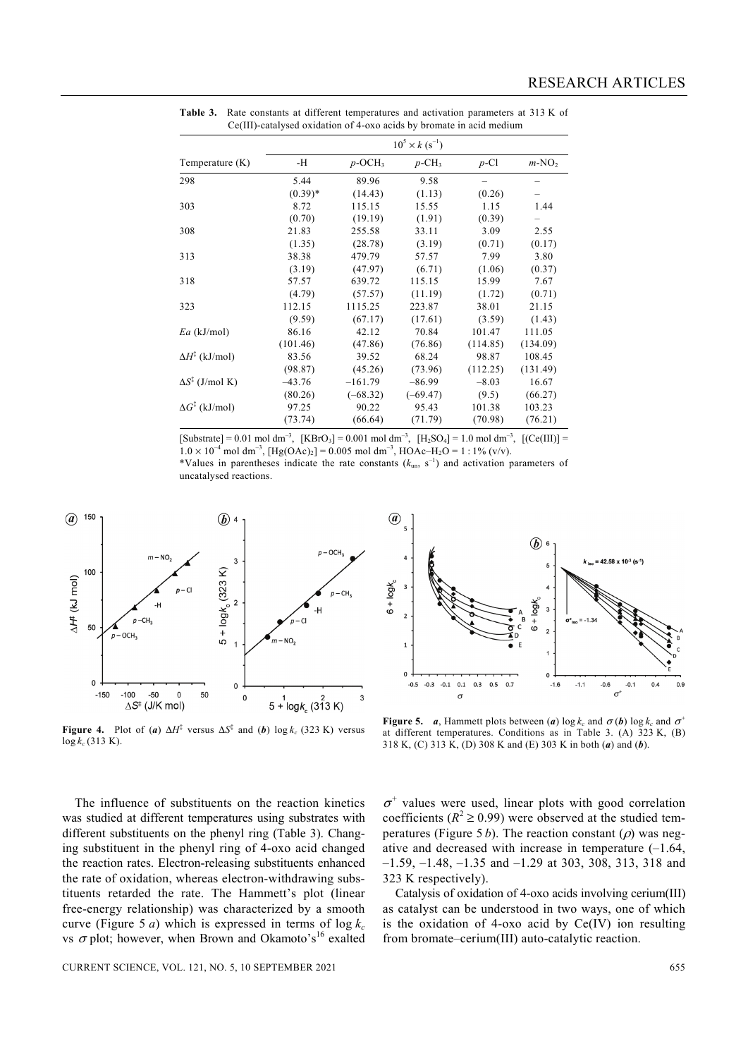| Temperature $(K)$               | -Н        | $p$ -OCH <sub>3</sub> | $p$ -CH <sub>3</sub> | $p$ -Cl  | $m-NO2$  |
|---------------------------------|-----------|-----------------------|----------------------|----------|----------|
| 298                             | 5.44      | 89.96                 | 9.58                 |          |          |
|                                 | $(0.39)*$ | (14.43)               | (1.13)               | (0.26)   |          |
| 303                             | 8.72      | 115.15                | 15.55                | 1.15     | 1.44     |
|                                 | (0.70)    | (19.19)               | (1.91)               | (0.39)   |          |
| 308                             | 21.83     | 255.58                | 33.11                | 3.09     | 2.55     |
|                                 | (1.35)    | (28.78)               | (3.19)               | (0.71)   | (0.17)   |
| 313                             | 38.38     | 479.79                | 57.57                | 7.99     | 3.80     |
|                                 | (3.19)    | (47.97)               | (6.71)               | (1.06)   | (0.37)   |
| 318                             | 57.57     | 639.72                | 115.15               | 15.99    | 7.67     |
|                                 | (4.79)    | (57.57)               | (11.19)              | (1.72)   | (0.71)   |
| 323                             | 112.15    | 1115.25               | 223.87               | 38.01    | 21.15    |
|                                 | (9.59)    | (67.17)               | (17.61)              | (3.59)   | (1.43)   |
| $Ea$ (kJ/mol)                   | 86.16     | 42.12                 | 70.84                | 101.47   | 111.05   |
|                                 | (101.46)  | (47.86)               | (76.86)              | (114.85) | (134.09) |
| $\Delta H^{\ddagger}$ (kJ/mol)  | 83.56     | 39.52                 | 68.24                | 98.87    | 108.45   |
|                                 | (98.87)   | (45.26)               | (73.96)              | (112.25) | (131.49) |
| $\Delta S^{\ddagger}$ (J/mol K) | $-43.76$  | $-161.79$             | $-86.99$             | $-8.03$  | 16.67    |
|                                 | (80.26)   | $(-68.32)$            | $(-69.47)$           | (9.5)    | (66.27)  |
| $\Delta G^{\ddagger}$ (kJ/mol)  | 97.25     | 90.22                 | 95.43                | 101.38   | 103.23   |
|                                 | (73.74)   | (66.64)               | (71.79)              | (70.98)  | (76.21)  |

**Table 3.** Rate constants at different temperatures and activation parameters at 313 K of Ce(III)-catalysed oxidation of 4-oxo acids by bromate in acid medium

 $[Substrate] = 0.01 \text{ mol dm}^{-3}$ ,  $[KBrO_3] = 0.001 \text{ mol dm}^{-3}$ ,  $[H_2SO_4] = 1.0 \text{ mol dm}^{-3}$ ,  $[(Ce(III))] =$  $1.0 \times 10^{-4}$  mol dm<sup>-3</sup>,  $[Hg(OAc)_2] = 0.005$  mol dm<sup>-3</sup>,  $HOAc-H_2O = 1:1\%$  (v/v). \*Values in parentheses indicate the rate constants  $(k_{\text{un}}, s^{-1})$  and activation parameters of uncatalysed reactions.



 $\mathcal{a}$  $\circledh$  $6 +$ logk  $6 + logk$  $\overline{\phantom{a}}$  $\epsilon$  $\Omega$  $-0.5$  $-0.3$  $-0.1$  $0.1$  $0.3$  $0.5 \quad 0.7$  $-1.6$  $-1.1$  $-0.6$  $-0.1$  $0.4$  $0.9$  $\sigma^i$  $\sigma$ 

**Figure 4.** Plot of (*a*)  $\Delta H^{\ddagger}$  versus  $\Delta S^{\ddagger}$  and (*b*) log  $k_c$  (323 K) versus  $\log k_c$  (313 K).

**Figure 5.** *a*, Hammett plots between (*a*) log  $k_c$  and  $\sigma$  (*b*) log  $k_c$  and  $\sigma$ <sup>+</sup> at different temperatures. Conditions as in Table 3. (A) 323 K, (B) 318 K, (C) 313 K, (D) 308 K and (E) 303 K in both (*a*) and (*b*).

 The influence of substituents on the reaction kinetics was studied at different temperatures using substrates with different substituents on the phenyl ring (Table 3). Changing substituent in the phenyl ring of 4-oxo acid changed the reaction rates. Electron-releasing substituents enhanced the rate of oxidation, whereas electron-withdrawing substituents retarded the rate. The Hammett's plot (linear free-energy relationship) was characterized by a smooth curve (Figure 5 *a*) which is expressed in terms of  $\log k_c$ vs  $\sigma$  plot; however, when Brown and Okamoto's<sup>16</sup> exalted

 $\sigma^+$  values were used, linear plots with good correlation coefficients ( $R^2 \ge 0.99$ ) were observed at the studied temperatures (Figure 5 *b*). The reaction constant ( $\rho$ ) was negative and decreased with increase in temperature (–1.64, –1.59, –1.48, –1.35 and –1.29 at 303, 308, 313, 318 and 323 K respectively).

 Catalysis of oxidation of 4-oxo acids involving cerium(III) as catalyst can be understood in two ways, one of which is the oxidation of 4-oxo acid by Ce(IV) ion resulting from bromate–cerium(III) auto-catalytic reaction.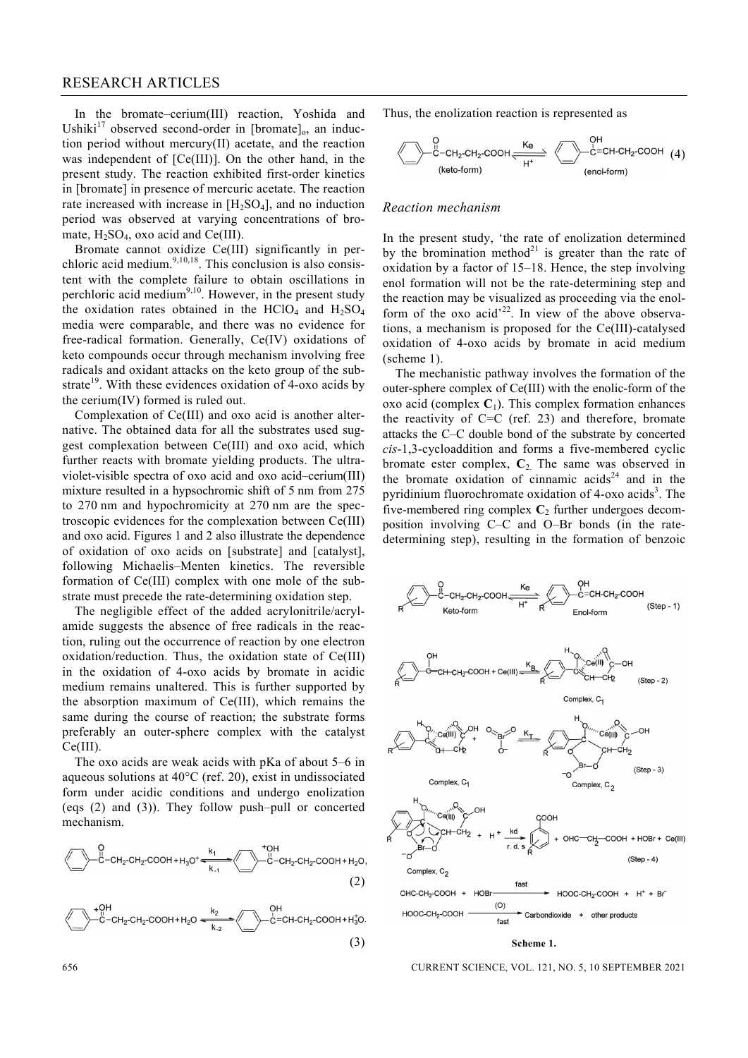In the bromate–cerium(III) reaction, Yoshida and Ushiki<sup>17</sup> observed second-order in [bromate]<sub>0</sub>, an induction period without mercury(II) acetate, and the reaction was independent of [Ce(III)]. On the other hand, in the present study. The reaction exhibited first-order kinetics in [bromate] in presence of mercuric acetate. The reaction rate increased with increase in  $[H_2SO_4]$ , and no induction period was observed at varying concentrations of bromate,  $H_2SO_4$ , oxo acid and Ce(III).

 Bromate cannot oxidize Ce(III) significantly in perchloric acid medium. $9,10,18$ . This conclusion is also consistent with the complete failure to obtain oscillations in perchloric acid medium<sup>9,10</sup>. However, in the present study the oxidation rates obtained in the HClO<sub>4</sub> and  $H_2SO_4$ media were comparable, and there was no evidence for free-radical formation. Generally, Ce(IV) oxidations of keto compounds occur through mechanism involving free radicals and oxidant attacks on the keto group of the substrate<sup>19</sup>. With these evidences oxidation of 4-oxo acids by the cerium(IV) formed is ruled out.

 Complexation of Ce(III) and oxo acid is another alternative. The obtained data for all the substrates used suggest complexation between Ce(III) and oxo acid, which further reacts with bromate yielding products. The ultraviolet-visible spectra of oxo acid and oxo acid–cerium(III) mixture resulted in a hypsochromic shift of 5 nm from 275 to 270 nm and hypochromicity at 270 nm are the spectroscopic evidences for the complexation between Ce(III) and oxo acid. Figures 1 and 2 also illustrate the dependence of oxidation of oxo acids on [substrate] and [catalyst], following Michaelis–Menten kinetics. The reversible formation of Ce(III) complex with one mole of the substrate must precede the rate-determining oxidation step.

 The negligible effect of the added acrylonitrile/acrylamide suggests the absence of free radicals in the reaction, ruling out the occurrence of reaction by one electron oxidation/reduction. Thus, the oxidation state of Ce(III) in the oxidation of 4-oxo acids by bromate in acidic medium remains unaltered. This is further supported by the absorption maximum of Ce(III), which remains the same during the course of reaction; the substrate forms preferably an outer-sphere complex with the catalyst Ce(III).

 The oxo acids are weak acids with pKa of about 5–6 in aqueous solutions at 40°C (ref. 20), exist in undissociated form under acidic conditions and undergo enolization (eqs (2) and (3)). They follow push–pull or concerted mechanism.

$$
\sum_{C}^{Q} -CH_2\text{-CH}_2\text{-COOH} + H_3O^+ \xrightarrow[k, 1]{k_1}^{R_1} \xrightarrow[k, 1]{+QH} CH_2\text{-CH}_2\text{-COOH} + H_2O,
$$
\n(2)

$$
\begin{matrix}\n+0H \\
-C-H_2-CH_2-COH + H_2O & \xrightarrow{k_2} C=CH-CH_2-COOH + H_3^+O.\n\end{matrix}
$$
\n(3)

Thus, the enolization reaction is represented as

$$
\bigotimes_{\text{(keto-form)}} \begin{array}{c} C \\ C \end{array} - CH_2 \text{-CH}_2\text{-COOH} \xrightarrow{\text{K}_e} \begin{array}{c} CH \\ C \end{array} - \begin{array}{c} CH \\ C \end{array} = CH \text{-CH}_2\text{-COOH} \tag{4}
$$

#### *Reaction mechanism*

In the present study, 'the rate of enolization determined by the bromination method<sup>21</sup> is greater than the rate of oxidation by a factor of 15–18. Hence, the step involving enol formation will not be the rate-determining step and the reaction may be visualized as proceeding via the enolform of the oxo acid<sup> $22$ </sup>. In view of the above observations, a mechanism is proposed for the Ce(III)-catalysed oxidation of 4-oxo acids by bromate in acid medium (scheme 1).

 The mechanistic pathway involves the formation of the outer-sphere complex of Ce(III) with the enolic-form of the oxo acid (complex  $C_1$ ). This complex formation enhances the reactivity of  $C=C$  (ref. 23) and therefore, bromate attacks the C–C double bond of the substrate by concerted *cis*-1,3-cycloaddition and forms a five-membered cyclic bromate ester complex,  $C_2$ . The same was observed in the bromate oxidation of cinnamic  $acids^{24}$  and in the pyridinium fluorochromate oxidation of  $4$ -oxo acids<sup>3</sup>. The five-membered ring complex **C**2 further undergoes decomposition involving C–C and O–Br bonds (in the ratedetermining step), resulting in the formation of benzoic



656 CURRENT SCIENCE, VOL. 121, NO. 5, 10 SEPTEMBER 2021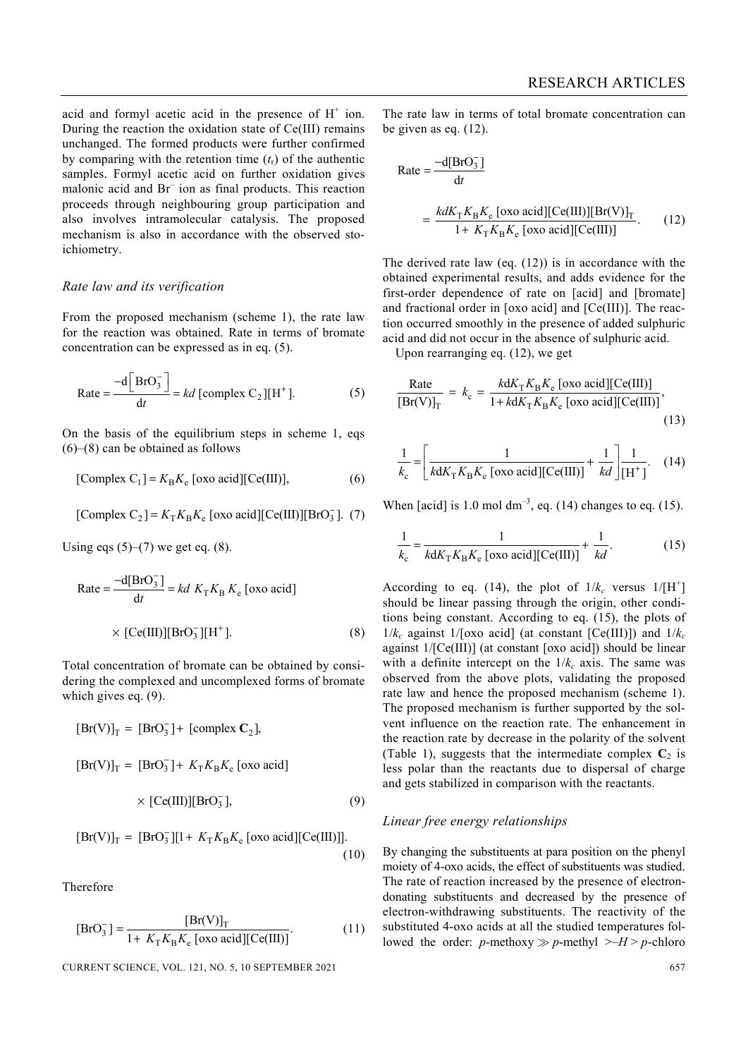acid and formyl acetic acid in the presence of  $H^+$  ion. During the reaction the oxidation state of Ce(III) remains unchanged. The formed products were further confirmed by comparing with the retention time  $(t<sub>r</sub>)$  of the authentic samples. Formyl acetic acid on further oxidation gives malonic acid and Br– ion as final products. This reaction proceeds through neighbouring group participation and also involves intramolecular catalysis. The proposed mechanism is also in accordance with the observed stoichiometry.

#### *Rate law and its verification*

From the proposed mechanism (scheme 1), the rate law for the reaction was obtained. Rate in terms of bromate concentration can be expressed as in eq. (5).

$$
Rate = \frac{-d\left[BrO_3^- \right]}{dt} = kd \text{ [complex C}_2 \text{][H}^+ \text{].}
$$
 (5)

On the basis of the equilibrium steps in scheme 1, eqs (6)–(8) can be obtained as follows

[Complex C<sub>1</sub>] = 
$$
K_{\text{B}}K_{\text{e}}
$$
 [oxo acid][Ce(III)], (6)

[Complex C<sub>2</sub>] = 
$$
K_{\text{T}} K_{\text{B}} K_{\text{e}}
$$
 [oxo acid][Ce(III)][BrO<sub>3</sub>]. (7)

Using eqs  $(5)$ – $(7)$  we get eq.  $(8)$ .

Rate = 
$$
\frac{-d[BrO_3^-]}{dt} = kd K_T K_B K_e \text{ [oxo acid]}
$$

$$
\times \text{[Ce(III)]} [\text{BrO}_3^-][H^+]. \tag{8}
$$

Total concentration of bromate can be obtained by considering the complexed and uncomplexed forms of bromate which gives eq.  $(9)$ .

$$
[Br(V)]_T = [BrO_3^-] + [complex C_2],
$$
  
\n
$$
[Br(V)]_T = [BrO_3^-] + K_T K_B K_e \text{ [oxo acid]}
$$
  
\n
$$
\times [Ce(III)][BrO_3^-], \qquad (9)
$$

$$
[\text{Br}(V)]_T = [\text{Br}O_3^-][1 + K_T K_B K_e \text{[oxo acid]}[\text{Ce(III)]}].
$$
\n(10)

Therefore

$$
[\text{BrO}_3^-] = \frac{[\text{Br(V)}]_T}{1 + K_T K_B K_e \text{ [oxo acid]}[\text{Ce(III)}]}.
$$
 (11)

CURRENT SCIENCE, VOL. 121, NO. 5, 10 SEPTEMBER 2021 657

The rate law in terms of total bromate concentration can be given as eq. (12).

Rate = 
$$
\frac{-d[BrO_3^-]}{dt}
$$
  
= 
$$
\frac{k dK_T K_B K_e \text{ [oxo acid][Ce(III)][Br(V)]_T}{1 + K_T K_B K_e \text{ [oxo acid][Ce(III)]}}.
$$
 (12)

The derived rate law (eq. (12)) is in accordance with the obtained experimental results, and adds evidence for the first-order dependence of rate on [acid] and [bromate] and fractional order in [oxo acid] and [Ce(III)]. The reaction occurred smoothly in the presence of added sulphuric acid and did not occur in the absence of sulphuric acid.

Upon rearranging eq. (12), we get

$$
\frac{\text{Rate}}{[\text{Br}(V)]_T} = k_c = \frac{k dK_T K_B K_e \text{ [oxo acid][Ce(III)]}}{1 + k dK_T K_B K_e \text{ [oxo acid][Ce(III)]}},\tag{13}
$$

$$
\frac{1}{k_{\rm c}} = \left[ \frac{1}{k d K_{\rm T} K_{\rm B} K_{\rm e} \, [\text{oxo acid}][\text{Ce(III)}]} + \frac{1}{k d} \right] \frac{1}{\left[\text{H}^+\right]}.
$$
 (14)

When [acid] is 1.0 mol  $dm^{-3}$ , eq. (14) changes to eq. (15).

$$
\frac{1}{k_{\rm c}} = \frac{1}{k d K_{\rm T} K_{\rm B} K_{\rm e} \, [\text{oxo acid}][\text{Ce(III)}]} + \frac{1}{k d}.
$$
 (15)

According to eq. (14), the plot of  $1/k_c$  versus  $1/[H^+]$ should be linear passing through the origin, other conditions being constant. According to eq. (15), the plots of  $1/k_c$  against  $1/[\text{oxo acid}]$  (at constant  $[Ce(III)]$ ) and  $1/k_c$ against 1/[Ce(III)] (at constant [oxo acid]) should be linear with a definite intercept on the  $1/k_c$  axis. The same was observed from the above plots, validating the proposed rate law and hence the proposed mechanism (scheme 1). The proposed mechanism is further supported by the solvent influence on the reaction rate. The enhancement in the reaction rate by decrease in the polarity of the solvent (Table 1), suggests that the intermediate complex  $C_2$  is less polar than the reactants due to dispersal of charge and gets stabilized in comparison with the reactants.

#### *Linear free energy relationships*

By changing the substituents at para position on the phenyl moiety of 4-oxo acids, the effect of substituents was studied. The rate of reaction increased by the presence of electrondonating substituents and decreased by the presence of electron-withdrawing substituents. The reactivity of the substituted 4-oxo acids at all the studied temperatures followed the order: *p*-methoxy  $\gg$  *p*-methyl  $\gg$ –*H*  $>$  *p*-chloro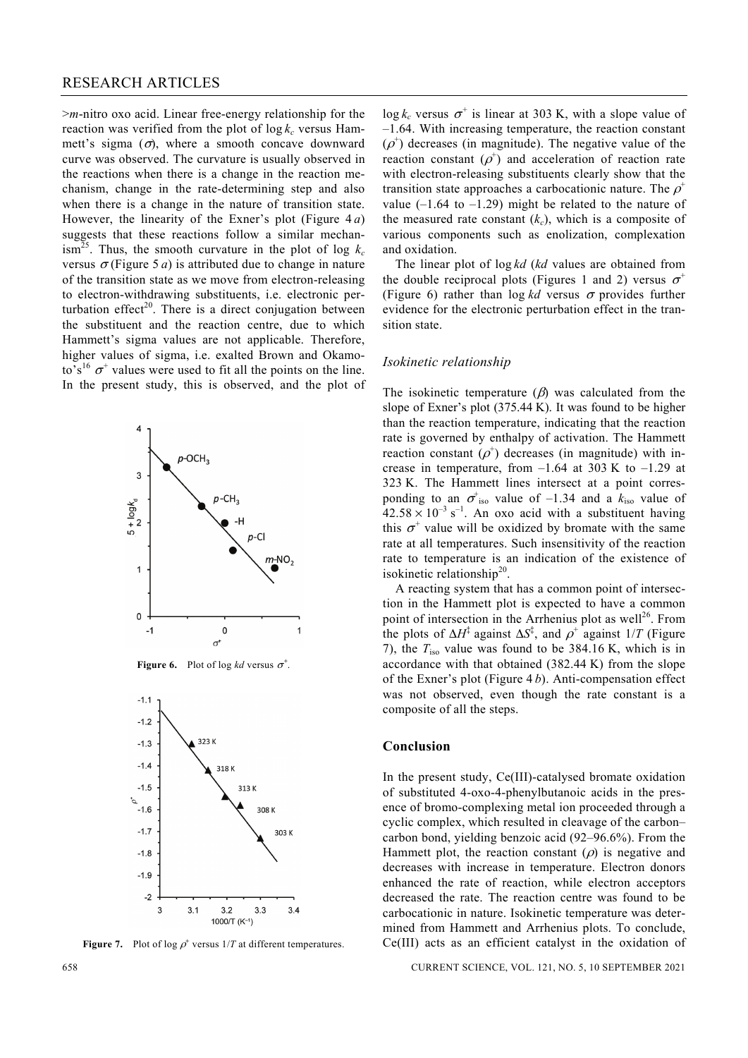### RESEARCH ARTICLES

>*m*-nitro oxo acid. Linear free-energy relationship for the reaction was verified from the plot of  $\log k_c$  versus Hammett's sigma  $(\sigma)$ , where a smooth concave downward curve was observed. The curvature is usually observed in the reactions when there is a change in the reaction mechanism, change in the rate-determining step and also when there is a change in the nature of transition state. However, the linearity of the Exner's plot (Figure 4 *a*) suggests that these reactions follow a similar mechanism<sup>25</sup>. Thus, the smooth curvature in the plot of log  $k_c$ versus  $\sigma$ (Figure 5*a*) is attributed due to change in nature of the transition state as we move from electron-releasing to electron-withdrawing substituents, i.e. electronic perturbation effect<sup>20</sup>. There is a direct conjugation between the substituent and the reaction centre, due to which Hammett's sigma values are not applicable. Therefore, higher values of sigma, i.e. exalted Brown and Okamoto's<sup>16</sup>  $\sigma^+$  values were used to fit all the points on the line. In the present study, this is observed, and the plot of







**Figure 7.** Plot of log  $\rho^+$  versus  $1/T$  at different temperatures.

 $\log k_c$  versus  $\sigma^+$  is linear at 303 K, with a slope value of –1.64. With increasing temperature, the reaction constant  $(\rho^+)$  decreases (in magnitude). The negative value of the reaction constant  $(\rho^+)$  and acceleration of reaction rate with electron-releasing substituents clearly show that the transition state approaches a carbocationic nature. The  $\rho^+$ value  $(-1.64 \text{ to } -1.29)$  might be related to the nature of the measured rate constant  $(k<sub>c</sub>)$ , which is a composite of various components such as enolization, complexation and oxidation.

 The linear plot of log *kd* (*kd* values are obtained from the double reciprocal plots (Figures 1 and 2) versus  $\sigma^+$ (Figure 6) rather than  $\log kd$  versus  $\sigma$  provides further evidence for the electronic perturbation effect in the transition state.

#### *Isokinetic relationship*

The isokinetic temperature  $(\beta)$  was calculated from the slope of Exner's plot (375.44 K). It was found to be higher than the reaction temperature, indicating that the reaction rate is governed by enthalpy of activation. The Hammett reaction constant  $(\rho^+)$  decreases (in magnitude) with increase in temperature, from  $-1.64$  at 303 K to  $-1.29$  at 323 K. The Hammett lines intersect at a point corresponding to an  $\sigma^{\dagger}_{iso}$  value of -1.34 and a  $k_{iso}$  value of  $42.58 \times 10^{-3}$  s<sup>-1</sup>. An oxo acid with a substituent having this  $\sigma^+$  value will be oxidized by bromate with the same rate at all temperatures. Such insensitivity of the reaction rate to temperature is an indication of the existence of isokinetic relationship<sup>20</sup>.

 A reacting system that has a common point of intersection in the Hammett plot is expected to have a common point of intersection in the Arrhenius plot as well<sup>26</sup>. From the plots of  $\Delta H^{\ddagger}$  against  $\Delta S^{\ddagger}$ , and  $\rho^+$  against  $1/T$  (Figure 7), the *T*iso value was found to be 384.16 K, which is in accordance with that obtained (382.44 K) from the slope of the Exner's plot (Figure 4 *b*). Anti-compensation effect was not observed, even though the rate constant is a composite of all the steps.

#### **Conclusion**

In the present study, Ce(III)-catalysed bromate oxidation of substituted 4-oxo-4-phenylbutanoic acids in the presence of bromo-complexing metal ion proceeded through a cyclic complex, which resulted in cleavage of the carbon– carbon bond, yielding benzoic acid (92–96.6%). From the Hammett plot, the reaction constant  $(\rho)$  is negative and decreases with increase in temperature. Electron donors enhanced the rate of reaction, while electron acceptors decreased the rate. The reaction centre was found to be carbocationic in nature. Isokinetic temperature was determined from Hammett and Arrhenius plots. To conclude, Ce(III) acts as an efficient catalyst in the oxidation of

658 CURRENT SCIENCE, VOL. 121, NO. 5, 10 SEPTEMBER 2021